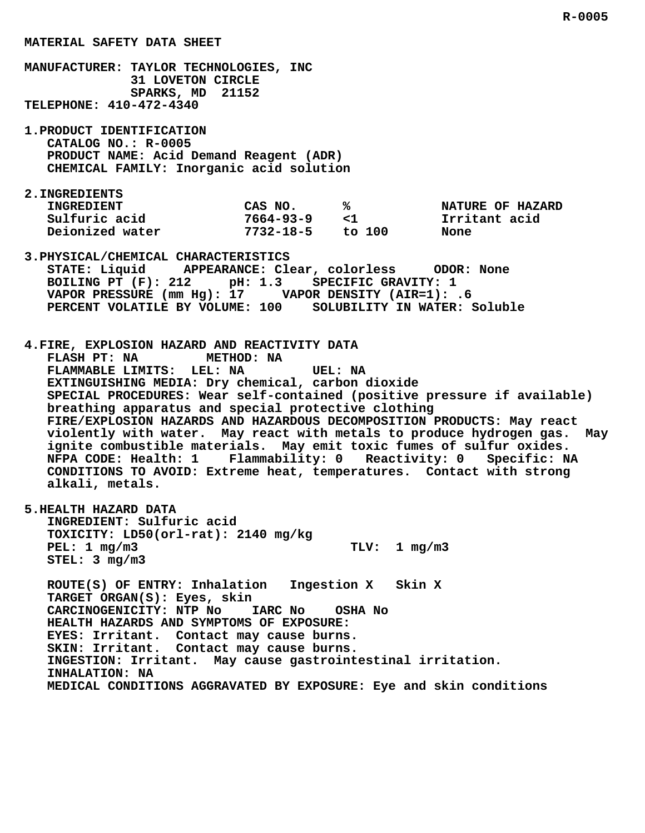**MANUFACTURER: TAYLOR TECHNOLOGIES, INC 31 LOVETON CIRCLE SPARKS, MD 21152 TELEPHONE: 410-472-4340 CATALOG NO.: R-0005 PRODUCT NAME: Acid Demand Reagent (ADR) CHEMICAL FAMILY: Inorganic acid solution** INGREDIENT CAS NO. 8 8 NATURE OF HAZARD  **Sulfuric acid 7664-93-9 <1 Irritant acid** THERE THE TREE THE SULFULL SULFULL SULFULL SULFULS USE OF THE USE OF THE SULFULL SULFULL SULFULL SULFULL SULFUL<br> **1732-18-5** to 100 None<br>
2732-18-5 to 100 None  **3.PHYSICAL/CHEMICAL CHARACTERISTICS STATE: Liquid APPEARANCE: Clear, colorless ODOR: None BOILING PT (F): 212 pH: 1.3 SPECIFIC GRAVITY: 1 VAPOR PRESSURE (mm Hg): 17 VAPOR DENSITY (AIR=1): .6 PERCENT VOLATILE BY VOLUME: 100 SOLUBILITY IN WATER: Soluble 4.FIRE, EXPLOSION HAZARD AND REACTIVITY DATA FLASH PT: NA METHOD: NA FLAMMABLE LIMITS: LEL: NA UEL: NA EXTINGUISHING MEDIA: Dry chemical, carbon dioxide SPECIAL PROCEDURES: Wear self-contained (positive pressure if available) breathing apparatus and special protective clothing FIRE/EXPLOSION HAZARDS AND HAZARDOUS DECOMPOSITION PRODUCTS: May react violently with water. May react with metals to produce hydrogen gas. May ignite combustible materials. May emit toxic fumes of sulfur oxides. NFPA CODE: Health: 1 Flammability: 0 Reactivity: 0 Specific: NA CONDITIONS TO AVOID: Extreme heat, temperatures. Contact with strong alkali, metals. 5.HEALTH HAZARD DATA INGREDIENT: Sulfuric acid TOXICITY: LD50(orl-rat): 2140 mg/kg PEL: 1 mg/m3 TLV: 1 mg/m3 STEL: 3 mg/m3 ROUTE(S) OF ENTRY: Inhalation Ingestion X Skin X TARGET ORGAN(S): Eyes, skin CARCINOGENICITY: NTP No IARC No OSHA No HEALTH HAZARDS AND SYMPTOMS OF EXPOSURE: EYES: Irritant. Contact may cause burns. SKIN: Irritant. Contact may cause burns. INGESTION: Irritant. May cause gastrointestinal irritation. INHALATION: NA**

 **MEDICAL CONDITIONS AGGRAVATED BY EXPOSURE: Eye and skin conditions**

## **MATERIAL SAFETY DATA SHEET**

 **1.PRODUCT IDENTIFICATION**

 **2.INGREDIENTS**